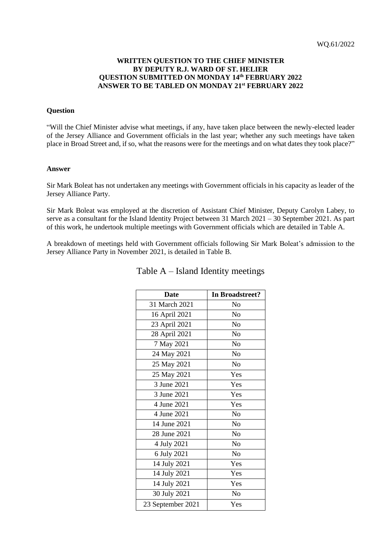### **WRITTEN QUESTION TO THE CHIEF MINISTER BY DEPUTY R.J. WARD OF ST. HELIER QUESTION SUBMITTED ON MONDAY 14th FEBRUARY 2022 ANSWER TO BE TABLED ON MONDAY 21st FEBRUARY 2022**

#### **Question**

"Will the Chief Minister advise what meetings, if any, have taken place between the newly-elected leader of the Jersey Alliance and Government officials in the last year; whether any such meetings have taken place in Broad Street and, if so, what the reasons were for the meetings and on what dates they took place?"

#### **Answer**

Sir Mark Boleat has not undertaken any meetings with Government officials in his capacity as leader of the Jersey Alliance Party.

Sir Mark Boleat was employed at the discretion of Assistant Chief Minister, Deputy Carolyn Labey, to serve as a consultant for the Island Identity Project between 31 March 2021 – 30 September 2021. As part of this work, he undertook multiple meetings with Government officials which are detailed in Table A.

A breakdown of meetings held with Government officials following Sir Mark Boleat's admission to the Jersey Alliance Party in November 2021, is detailed in Table B.

| <b>Date</b>       | In Broadstreet? |  |
|-------------------|-----------------|--|
| 31 March 2021     | No              |  |
| 16 April 2021     | No              |  |
| 23 April 2021     | N <sub>o</sub>  |  |
| 28 April 2021     | No              |  |
| 7 May 2021        | No              |  |
| 24 May 2021       | N <sub>o</sub>  |  |
| 25 May 2021       | N <sub>o</sub>  |  |
| 25 May 2021       | Yes             |  |
| 3 June 2021       | Yes             |  |
| 3 June 2021       | Yes             |  |
| 4 June 2021       | Yes             |  |
| 4 June 2021       | N <sub>o</sub>  |  |
| 14 June 2021      | N <sub>o</sub>  |  |
| 28 June 2021      | N <sub>o</sub>  |  |
| 4 July 2021       | N <sub>o</sub>  |  |
| 6 July 2021       | N <sub>o</sub>  |  |
| 14 July 2021      | Yes             |  |
| 14 July 2021      | Yes             |  |
| 14 July 2021      | Yes             |  |
| 30 July 2021      | N <sub>o</sub>  |  |
| 23 September 2021 | Yes             |  |

## Table A – Island Identity meetings